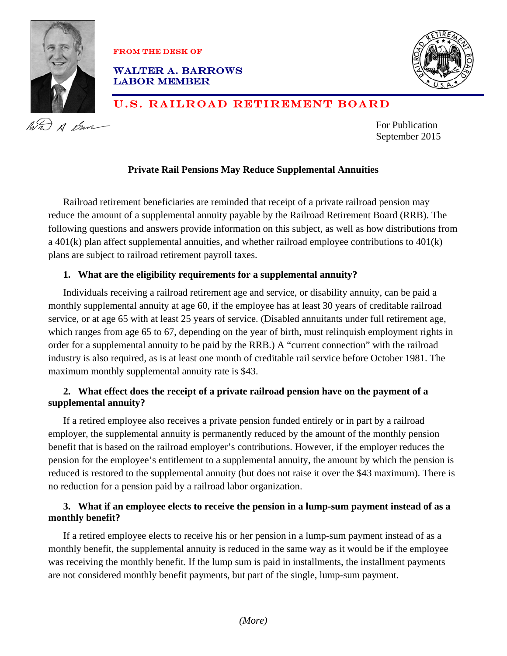

FROM THE DESK OF

WALTER A. BARROWS LABOR MEMBER



# U.S. RAILROAD RETIREMENT BOARD

For Publication September 2015

# **Private Rail Pensions May Reduce Supplemental Annuities**

Railroad retirement beneficiaries are reminded that receipt of a private railroad pension may reduce the amount of a supplemental annuity payable by the Railroad Retirement Board (RRB). The following questions and answers provide information on this subject, as well as how distributions from a 401(k) plan affect supplemental annuities, and whether railroad employee contributions to 401(k) plans are subject to railroad retirement payroll taxes.

#### **1. What are the eligibility requirements for a supplemental annuity?**

Individuals receiving a railroad retirement age and service, or disability annuity, can be paid a monthly supplemental annuity at age 60, if the employee has at least 30 years of creditable railroad service, or at age 65 with at least 25 years of service. (Disabled annuitants under full retirement age, which ranges from age 65 to 67, depending on the year of birth, must relinquish employment rights in order for a supplemental annuity to be paid by the RRB.) A "current connection" with the railroad industry is also required, as is at least one month of creditable rail service before October 1981. The maximum monthly supplemental annuity rate is \$43.

# **2. What effect does the receipt of a private railroad pension have on the payment of a supplemental annuity?**

If a retired employee also receives a private pension funded entirely or in part by a railroad employer, the supplemental annuity is permanently reduced by the amount of the monthly pension benefit that is based on the railroad employer's contributions. However, if the employer reduces the pension for the employee's entitlement to a supplemental annuity, the amount by which the pension is reduced is restored to the supplemental annuity (but does not raise it over the \$43 maximum). There is no reduction for a pension paid by a railroad labor organization.

# **3. What if an employee elects to receive the pension in a lump-sum payment instead of as a monthly benefit?**

If a retired employee elects to receive his or her pension in a lump-sum payment instead of as a monthly benefit, the supplemental annuity is reduced in the same way as it would be if the employee was receiving the monthly benefit. If the lump sum is paid in installments, the installment payments are not considered monthly benefit payments, but part of the single, lump-sum payment.